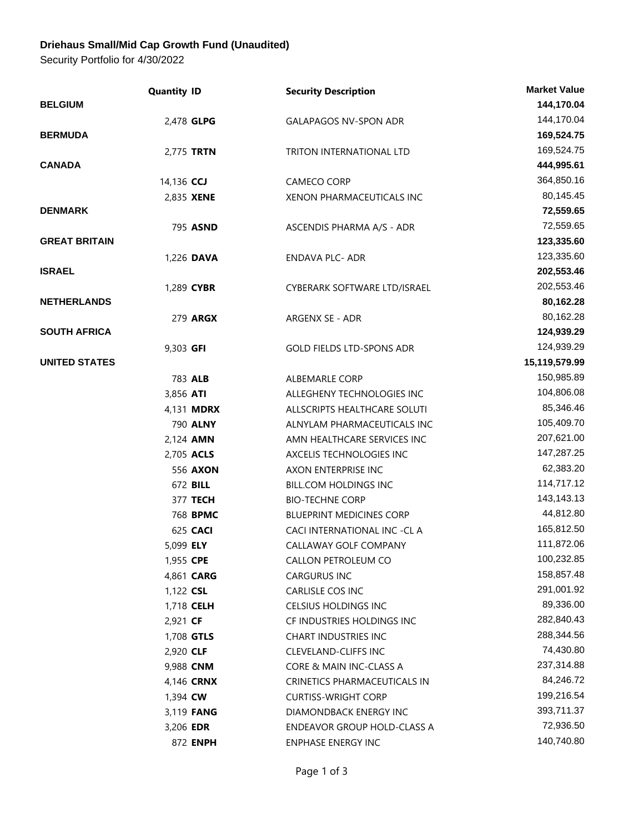## **Driehaus Small/Mid Cap Growth Fund (Unaudited)**

Security Portfolio for 4/30/2022

|                      | <b>Quantity ID</b> | <b>Security Description</b>     | <b>Market Value</b> |
|----------------------|--------------------|---------------------------------|---------------------|
| <b>BELGIUM</b>       |                    |                                 | 144,170.04          |
|                      | 2,478 GLPG         | <b>GALAPAGOS NV-SPON ADR</b>    | 144,170.04          |
| <b>BERMUDA</b>       |                    |                                 | 169,524.75          |
|                      | 2,775 TRTN         | TRITON INTERNATIONAL LTD        | 169,524.75          |
| <b>CANADA</b>        |                    |                                 | 444,995.61          |
|                      | 14,136 CCJ         | CAMECO CORP                     | 364,850.16          |
|                      | 2,835 XENE         | XENON PHARMACEUTICALS INC       | 80,145.45           |
| <b>DENMARK</b>       |                    |                                 | 72,559.65           |
|                      | 795 ASND           | ASCENDIS PHARMA A/S - ADR       | 72,559.65           |
| <b>GREAT BRITAIN</b> |                    |                                 | 123,335.60          |
|                      | 1,226 DAVA         | <b>ENDAVA PLC- ADR</b>          | 123,335.60          |
| <b>ISRAEL</b>        |                    |                                 | 202,553.46          |
|                      | 1,289 CYBR         | CYBERARK SOFTWARE LTD/ISRAEL    | 202,553.46          |
| <b>NETHERLANDS</b>   |                    |                                 | 80,162.28           |
|                      | 279 ARGX           | ARGENX SE - ADR                 | 80,162.28           |
| <b>SOUTH AFRICA</b>  |                    |                                 | 124,939.29          |
|                      | 9,303 GFI          | GOLD FIELDS LTD-SPONS ADR       | 124,939.29          |
| <b>UNITED STATES</b> |                    |                                 | 15,119,579.99       |
|                      | 783 ALB            | <b>ALBEMARLE CORP</b>           | 150,985.89          |
|                      | 3,856 ATI          | ALLEGHENY TECHNOLOGIES INC      | 104,806.08          |
|                      | 4,131 <b>MDRX</b>  | ALLSCRIPTS HEALTHCARE SOLUTI    | 85,346.46           |
|                      | 790 ALNY           | ALNYLAM PHARMACEUTICALS INC     | 105,409.70          |
|                      | 2,124 AMN          | AMN HEALTHCARE SERVICES INC     | 207,621.00          |
|                      | 2,705 ACLS         | AXCELIS TECHNOLOGIES INC        | 147,287.25          |
|                      | 556 AXON           | AXON ENTERPRISE INC             | 62,383.20           |
|                      | 672 BILL           | BILL.COM HOLDINGS INC           | 114,717.12          |
|                      | 377 TECH           | <b>BIO-TECHNE CORP</b>          | 143,143.13          |
|                      | 768 BPMC           | <b>BLUEPRINT MEDICINES CORP</b> | 44,812.80           |
|                      | 625 CACI           | CACI INTERNATIONAL INC -CL A    | 165,812.50          |
|                      | 5,099 ELY          | CALLAWAY GOLF COMPANY           | 111,872.06          |
|                      | 1,955 CPE          | CALLON PETROLEUM CO             | 100,232.85          |
|                      | 4,861 CARG         | CARGURUS INC                    | 158,857.48          |
|                      | 1,122 CSL          | CARLISLE COS INC                | 291,001.92          |
|                      | 1,718 <b>CELH</b>  | CELSIUS HOLDINGS INC            | 89,336.00           |
|                      | 2,921 CF           | CF INDUSTRIES HOLDINGS INC      | 282,840.43          |
|                      | 1,708 GTLS         | CHART INDUSTRIES INC            | 288,344.56          |
|                      | 2,920 CLF          | <b>CLEVELAND-CLIFFS INC</b>     | 74,430.80           |
|                      | 9,988 CNM          | CORE & MAIN INC-CLASS A         | 237,314.88          |
|                      | 4,146 <b>CRNX</b>  | CRINETICS PHARMACEUTICALS IN    | 84,246.72           |
|                      | 1,394 <b>CW</b>    | <b>CURTISS-WRIGHT CORP</b>      | 199,216.54          |
|                      | 3,119 <b>FANG</b>  | DIAMONDBACK ENERGY INC          | 393,711.37          |
|                      | 3,206 EDR          | ENDEAVOR GROUP HOLD-CLASS A     | 72,936.50           |
|                      | 872 ENPH           | ENPHASE ENERGY INC              | 140,740.80          |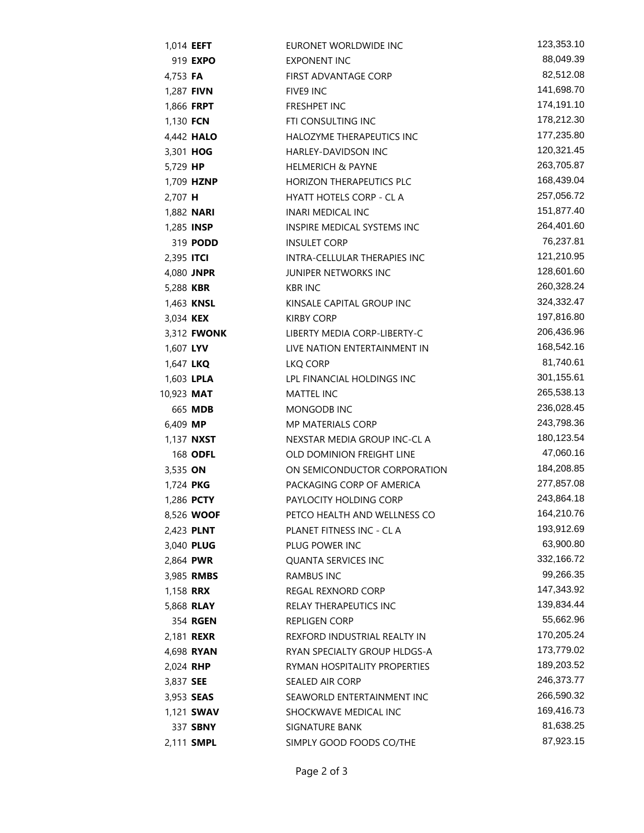|                   | 1,014 <b>EEFT</b>  | EURONET WORLDWIDE INC           | 123,353.10 |
|-------------------|--------------------|---------------------------------|------------|
|                   | 919 <b>EXPO</b>    | EXPONENT INC                    | 88,049.39  |
| 4,753 FA          |                    | FIRST ADVANTAGE CORP            | 82,512.08  |
|                   | 1,287 <b>FIVN</b>  | FIVE9 INC                       | 141,698.70 |
|                   | 1,866 FRPT         | FRESHPET INC                    | 174,191.10 |
| 1,130 FCN         |                    | FTI CONSULTING INC              | 178,212.30 |
|                   | 4,442 <b>HALO</b>  | HALOZYME THERAPEUTICS INC       | 177,235.80 |
| 3,301 HOG         |                    | HARLEY-DAVIDSON INC             | 120,321.45 |
| 5,729 HP          |                    | <b>HELMERICH &amp; PAYNE</b>    | 263,705.87 |
|                   | 1,709 HZNP         | <b>HORIZON THERAPEUTICS PLC</b> | 168,439.04 |
| 2,707 H           |                    | HYATT HOTELS CORP - CL A        | 257,056.72 |
|                   | 1,882 <b>NARI</b>  | INARI MEDICAL INC               | 151,877.40 |
|                   | 1,285 <b>INSP</b>  | INSPIRE MEDICAL SYSTEMS INC     | 264,401.60 |
|                   | 319 <b>PODD</b>    | <b>INSULET CORP</b>             | 76,237.81  |
| 2,395 <b>ITCI</b> |                    | INTRA-CELLULAR THERAPIES INC    | 121,210.95 |
|                   | 4,080 JNPR         | JUNIPER NETWORKS INC            | 128,601.60 |
| 5,288 KBR         |                    | <b>KBR INC</b>                  | 260,328.24 |
|                   | 1,463 KNSL         | KINSALE CAPITAL GROUP INC       | 324,332.47 |
| 3,034 <b>KEX</b>  |                    | <b>KIRBY CORP</b>               | 197,816.80 |
|                   | 3,312 <b>FWONK</b> | LIBERTY MEDIA CORP-LIBERTY-C    | 206,436.96 |
| 1,607 LYV         |                    | LIVE NATION ENTERTAINMENT IN    | 168,542.16 |
| 1,647 LKQ         |                    | LKQ CORP                        | 81,740.61  |
|                   | 1,603 LPLA         | LPL FINANCIAL HOLDINGS INC      | 301,155.61 |
| 10,923 MAT        |                    | <b>MATTEL INC</b>               | 265,538.13 |
|                   | 665 MDB            | MONGODB INC                     | 236,028.45 |
| 6,409 MP          |                    | <b>MP MATERIALS CORP</b>        | 243,798.36 |
|                   | 1,137 <b>NXST</b>  | NEXSTAR MEDIA GROUP INC-CL A    | 180,123.54 |
|                   | 168 ODFL           | OLD DOMINION FREIGHT LINE       | 47,060.16  |
| 3,535 ON          |                    | ON SEMICONDUCTOR CORPORATION    | 184,208.85 |
| 1,724 PKG         |                    | PACKAGING CORP OF AMERICA       | 277,857.08 |
|                   | 1,286 PCTY         | PAYLOCITY HOLDING CORP          | 243,864.18 |
|                   | 8,526 WOOF         | PETCO HEALTH AND WELLNESS CO    | 164,210.76 |
|                   | 2,423 PLNT         | PLANET FITNESS INC - CL A       | 193,912.69 |
|                   | 3,040 PLUG         | PLUG POWER INC                  | 63,900.80  |
|                   | 2,864 PWR          | <b>QUANTA SERVICES INC</b>      | 332,166.72 |
|                   | 3,985 RMBS         | <b>RAMBUS INC</b>               | 99,266.35  |
| 1,158 <b>RRX</b>  |                    | <b>REGAL REXNORD CORP</b>       | 147,343.92 |
|                   | 5,868 <b>RLAY</b>  | RELAY THERAPEUTICS INC          | 139,834.44 |
|                   | 354 RGEN           | <b>REPLIGEN CORP</b>            | 55,662.96  |
|                   | 2,181 <b>REXR</b>  | REXFORD INDUSTRIAL REALTY IN    | 170,205.24 |
|                   | 4,698 RYAN         | RYAN SPECIALTY GROUP HLDGS-A    | 173,779.02 |
| 2,024 RHP         |                    | RYMAN HOSPITALITY PROPERTIES    | 189,203.52 |
| 3,837 SEE         |                    | SEALED AIR CORP                 | 246,373.77 |
|                   | 3,953 <b>SEAS</b>  | SEAWORLD ENTERTAINMENT INC      | 266,590.32 |
|                   | 1,121 <b>SWAV</b>  | SHOCKWAVE MEDICAL INC           | 169,416.73 |
|                   | 337 <b>SBNY</b>    | SIGNATURE BANK                  | 81,638.25  |
|                   | 2,111 SMPL         | SIMPLY GOOD FOODS CO/THE        | 87,923.15  |